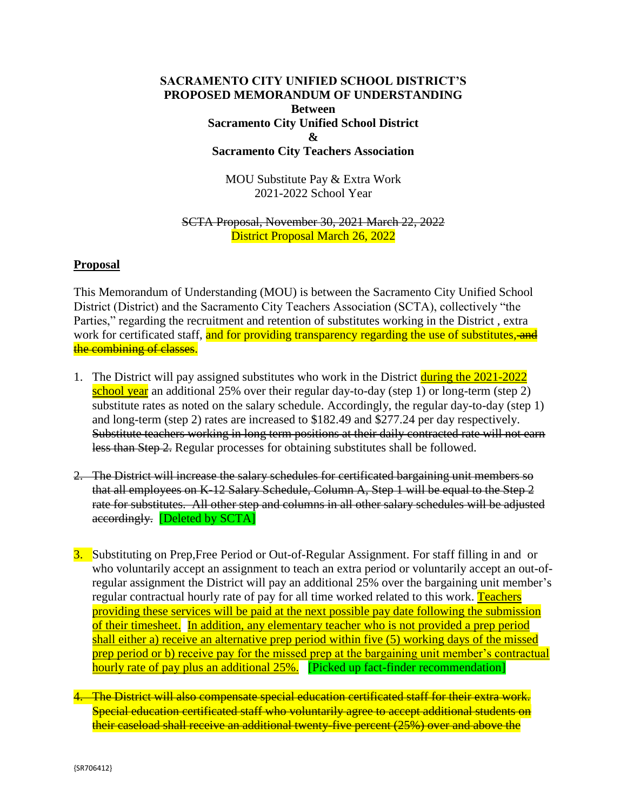# **SACRAMENTO CITY UNIFIED SCHOOL DISTRICT'S PROPOSED MEMORANDUM OF UNDERSTANDING Between Sacramento City Unified School District & Sacramento City Teachers Association**

MOU Substitute Pay & Extra Work 2021-2022 School Year

#### SCTA Proposal, November 30, 2021 March 22, 2022 District Proposal March 26, 2022

### **Proposal**

This Memorandum of Understanding (MOU) is between the Sacramento City Unified School District (District) and the Sacramento City Teachers Association (SCTA), collectively "the Parties," regarding the recruitment and retention of substitutes working in the District, extra work for certificated staff, and for providing transparency regarding the use of substitutes, and the combining of classes.

- 1. The District will pay assigned substitutes who work in the District during the 2021-2022 school year an additional 25% over their regular day-to-day (step 1) or long-term (step 2) substitute rates as noted on the salary schedule. Accordingly, the regular day-to-day (step 1) and long-term (step 2) rates are increased to \$182.49 and \$277.24 per day respectively. Substitute teachers working in long term positions at their daily contracted rate will not earn less than Step 2. Regular processes for obtaining substitutes shall be followed.
- 2. The District will increase the salary schedules for certificated bargaining unit members so that all employees on K-12 Salary Schedule, Column A, Step 1 will be equal to the Step 2 rate for substitutes. All other step and columns in all other salary schedules will be adjusted accordingly. [Deleted by SCTA]
- 3. Substituting on Prep,Free Period or Out-of-Regular Assignment. For staff filling in and or who voluntarily accept an assignment to teach an extra period or voluntarily accept an out-ofregular assignment the District will pay an additional 25% over the bargaining unit member's regular contractual hourly rate of pay for all time worked related to this work. Teachers providing these services will be paid at the next possible pay date following the submission of their timesheet. In addition, any elementary teacher who is not provided a prep period shall either a) receive an alternative prep period within five (5) working days of the missed prep period or b) receive pay for the missed prep at the bargaining unit member's contractual hourly rate of pay plus an additional 25%. [Picked up fact-finder recommendation]
- 4. The District will also compensate special education certificated staff for their extra work. Special education certificated staff who voluntarily agree to accept additional students on their caseload shall receive an additional twenty-five percent (25%) over and above the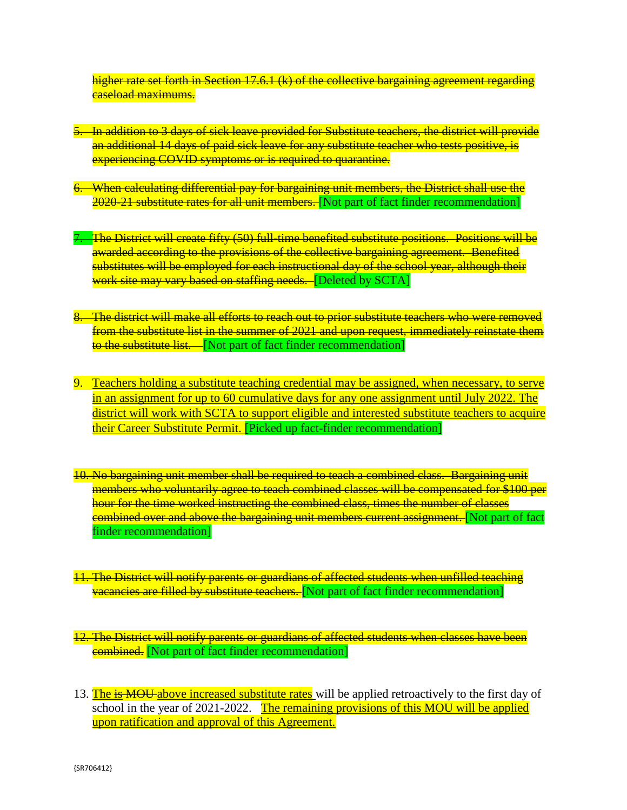higher rate set forth in Section 17.6.1 (k) of the collective bargaining agreement regarding caseload maximums.

- 5. In addition to 3 days of sick leave provided for Substitute teachers, the district will provide an additional 14 days of paid sick leave for any substitute teacher who tests positive, is experiencing COVID symptoms or is required to quarantine.
- 6. When calculating differential pay for bargaining unit members, the District shall use the 2020-21 substitute rates for all unit members. [Not part of fact finder recommendation]
- 7. The District will create fifty (50) full-time benefited substitute positions. Positions will be awarded according to the provisions of the collective bargaining agreement. Benefited substitutes will be employed for each instructional day of the school year, although their work site may vary based on staffing needs. [Deleted by SCTA]
- 8. The district will make all efforts to reach out to prior substitute teachers who were removed from the substitute list in the summer of 2021 and upon request, immediately reinstate them to the substitute list. [Not part of fact finder recommendation]
- 9. Teachers holding a substitute teaching credential may be assigned, when necessary, to serve in an assignment for up to 60 cumulative days for any one assignment until July 2022. The district will work with SCTA to support eligible and interested substitute teachers to acquire their Career Substitute Permit. [Picked up fact-finder recommendation]
- 10. No bargaining unit member shall be required to teach a combined class. Bargaining unit members who voluntarily agree to teach combined classes will be compensated for \$100 per hour for the time worked instructing the combined class, times the number of classes combined over and above the bargaining unit members current assignment. [Not part of fact finder recommendation]
- 11. The District will notify parents or guardians of affected students when unfilled teaching **vacancies are filled by substitute teachers.** [Not part of fact finder recommendation]
- 12. The District will notify parents or guardians of affected students when classes have been **combined.** [Not part of fact finder recommendation]
- 13. The is MOU above increased substitute rates will be applied retroactively to the first day of school in the year of 2021-2022. The remaining provisions of this MOU will be applied upon ratification and approval of this Agreement.